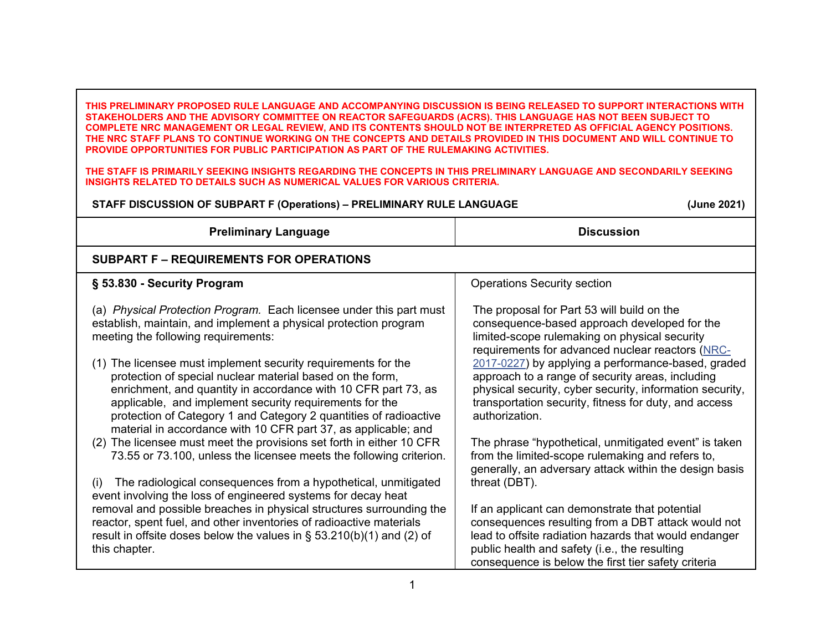**THIS PRELIMINARY PROPOSED RULE LANGUAGE AND ACCOMPANYING DISCUSSION IS BEING RELEASED TO SUPPORT INTERACTIONS WITH STAKEHOLDERS AND THE ADVISORY COMMITTEE ON REACTOR SAFEGUARDS (ACRS). THIS LANGUAGE HAS NOT BEEN SUBJECT TO COMPLETE NRC MANAGEMENT OR LEGAL REVIEW, AND ITS CONTENTS SHOULD NOT BE INTERPRETED AS OFFICIAL AGENCY POSITIONS. THE NRC STAFF PLANS TO CONTINUE WORKING ON THE CONCEPTS AND DETAILS PROVIDED IN THIS DOCUMENT AND WILL CONTINUE TO PROVIDE OPPORTUNITIES FOR PUBLIC PARTICIPATION AS PART OF THE RULEMAKING ACTIVITIES.**

**THE STAFF IS PRIMARILY SEEKING INSIGHTS REGARDING THE CONCEPTS IN THIS PRELIMINARY LANGUAGE AND SECONDARILY SEEKING INSIGHTS RELATED TO DETAILS SUCH AS NUMERICAL VALUES FOR VARIOUS CRITERIA.** 

| STAFF DISCUSSION OF SUBPART F (Operations) - PRELIMINARY RULE LANGUAGE |                                                                                                                                                                                                                                                                                                                                                                                                                                           | (June 2021)                                                                                                                                                                                                                                                                                                                                                                                                                    |
|------------------------------------------------------------------------|-------------------------------------------------------------------------------------------------------------------------------------------------------------------------------------------------------------------------------------------------------------------------------------------------------------------------------------------------------------------------------------------------------------------------------------------|--------------------------------------------------------------------------------------------------------------------------------------------------------------------------------------------------------------------------------------------------------------------------------------------------------------------------------------------------------------------------------------------------------------------------------|
|                                                                        | <b>Preliminary Language</b>                                                                                                                                                                                                                                                                                                                                                                                                               | <b>Discussion</b>                                                                                                                                                                                                                                                                                                                                                                                                              |
|                                                                        | <b>SUBPART F - REQUIREMENTS FOR OPERATIONS</b>                                                                                                                                                                                                                                                                                                                                                                                            |                                                                                                                                                                                                                                                                                                                                                                                                                                |
|                                                                        | § 53.830 - Security Program                                                                                                                                                                                                                                                                                                                                                                                                               | <b>Operations Security section</b>                                                                                                                                                                                                                                                                                                                                                                                             |
|                                                                        | (a) Physical Protection Program. Each licensee under this part must<br>establish, maintain, and implement a physical protection program<br>meeting the following requirements:<br>(1) The licensee must implement security requirements for the<br>protection of special nuclear material based on the form,<br>enrichment, and quantity in accordance with 10 CFR part 73, as<br>applicable, and implement security requirements for the | The proposal for Part 53 will build on the<br>consequence-based approach developed for the<br>limited-scope rulemaking on physical security<br>requirements for advanced nuclear reactors (NRC-<br>2017-0227) by applying a performance-based, graded<br>approach to a range of security areas, including<br>physical security, cyber security, information security,<br>transportation security, fitness for duty, and access |
|                                                                        | protection of Category 1 and Category 2 quantities of radioactive<br>material in accordance with 10 CFR part 37, as applicable; and                                                                                                                                                                                                                                                                                                       | authorization.                                                                                                                                                                                                                                                                                                                                                                                                                 |
|                                                                        | (2) The licensee must meet the provisions set forth in either 10 CFR<br>73.55 or 73.100, unless the licensee meets the following criterion.                                                                                                                                                                                                                                                                                               | The phrase "hypothetical, unmitigated event" is taken<br>from the limited-scope rulemaking and refers to,<br>generally, an adversary attack within the design basis                                                                                                                                                                                                                                                            |
|                                                                        | (i) The radiological consequences from a hypothetical, unmitigated<br>event involving the loss of engineered systems for decay heat                                                                                                                                                                                                                                                                                                       | threat (DBT).                                                                                                                                                                                                                                                                                                                                                                                                                  |
|                                                                        | removal and possible breaches in physical structures surrounding the<br>reactor, spent fuel, and other inventories of radioactive materials<br>result in offsite doses below the values in $\S$ 53.210(b)(1) and (2) of<br>this chapter.                                                                                                                                                                                                  | If an applicant can demonstrate that potential<br>consequences resulting from a DBT attack would not<br>lead to offsite radiation hazards that would endanger<br>public health and safety (i.e., the resulting<br>consequence is below the first tier safety criteria                                                                                                                                                          |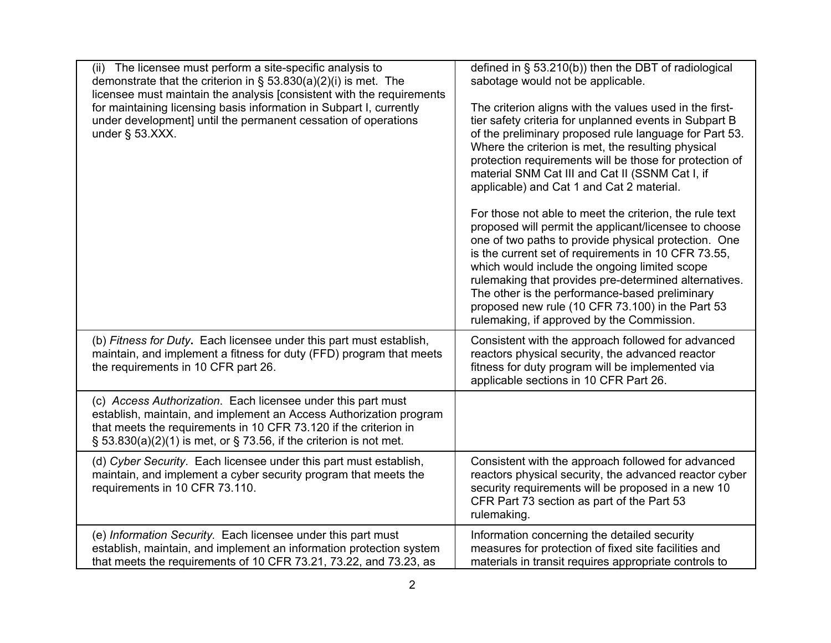| (ii) The licensee must perform a site-specific analysis to<br>demonstrate that the criterion in $\S$ 53.830(a)(2)(i) is met. The<br>licensee must maintain the analysis [consistent with the requirements<br>for maintaining licensing basis information in Subpart I, currently<br>under development] until the permanent cessation of operations<br>under $\S$ 53.XXX. | defined in $\S$ 53.210(b)) then the DBT of radiological<br>sabotage would not be applicable.<br>The criterion aligns with the values used in the first-<br>tier safety criteria for unplanned events in Subpart B<br>of the preliminary proposed rule language for Part 53.<br>Where the criterion is met, the resulting physical<br>protection requirements will be those for protection of<br>material SNM Cat III and Cat II (SSNM Cat I, if<br>applicable) and Cat 1 and Cat 2 material.<br>For those not able to meet the criterion, the rule text<br>proposed will permit the applicant/licensee to choose<br>one of two paths to provide physical protection. One<br>is the current set of requirements in 10 CFR 73.55,<br>which would include the ongoing limited scope<br>rulemaking that provides pre-determined alternatives.<br>The other is the performance-based preliminary<br>proposed new rule (10 CFR 73.100) in the Part 53<br>rulemaking, if approved by the Commission. |
|--------------------------------------------------------------------------------------------------------------------------------------------------------------------------------------------------------------------------------------------------------------------------------------------------------------------------------------------------------------------------|-----------------------------------------------------------------------------------------------------------------------------------------------------------------------------------------------------------------------------------------------------------------------------------------------------------------------------------------------------------------------------------------------------------------------------------------------------------------------------------------------------------------------------------------------------------------------------------------------------------------------------------------------------------------------------------------------------------------------------------------------------------------------------------------------------------------------------------------------------------------------------------------------------------------------------------------------------------------------------------------------|
| (b) Fitness for Duty. Each licensee under this part must establish,<br>maintain, and implement a fitness for duty (FFD) program that meets<br>the requirements in 10 CFR part 26.                                                                                                                                                                                        | Consistent with the approach followed for advanced<br>reactors physical security, the advanced reactor<br>fitness for duty program will be implemented via<br>applicable sections in 10 CFR Part 26.                                                                                                                                                                                                                                                                                                                                                                                                                                                                                                                                                                                                                                                                                                                                                                                          |
| (c) Access Authorization. Each licensee under this part must<br>establish, maintain, and implement an Access Authorization program<br>that meets the requirements in 10 CFR 73.120 if the criterion in<br>$\S$ 53.830(a)(2)(1) is met, or $\S$ 73.56, if the criterion is not met.                                                                                       |                                                                                                                                                                                                                                                                                                                                                                                                                                                                                                                                                                                                                                                                                                                                                                                                                                                                                                                                                                                               |
| (d) Cyber Security. Each licensee under this part must establish,<br>maintain, and implement a cyber security program that meets the<br>requirements in 10 CFR 73.110.                                                                                                                                                                                                   | Consistent with the approach followed for advanced<br>reactors physical security, the advanced reactor cyber<br>security requirements will be proposed in a new 10<br>CFR Part 73 section as part of the Part 53<br>rulemaking.                                                                                                                                                                                                                                                                                                                                                                                                                                                                                                                                                                                                                                                                                                                                                               |
| (e) Information Security. Each licensee under this part must<br>establish, maintain, and implement an information protection system<br>that meets the requirements of 10 CFR 73.21, 73.22, and 73.23, as                                                                                                                                                                 | Information concerning the detailed security<br>measures for protection of fixed site facilities and<br>materials in transit requires appropriate controls to                                                                                                                                                                                                                                                                                                                                                                                                                                                                                                                                                                                                                                                                                                                                                                                                                                 |